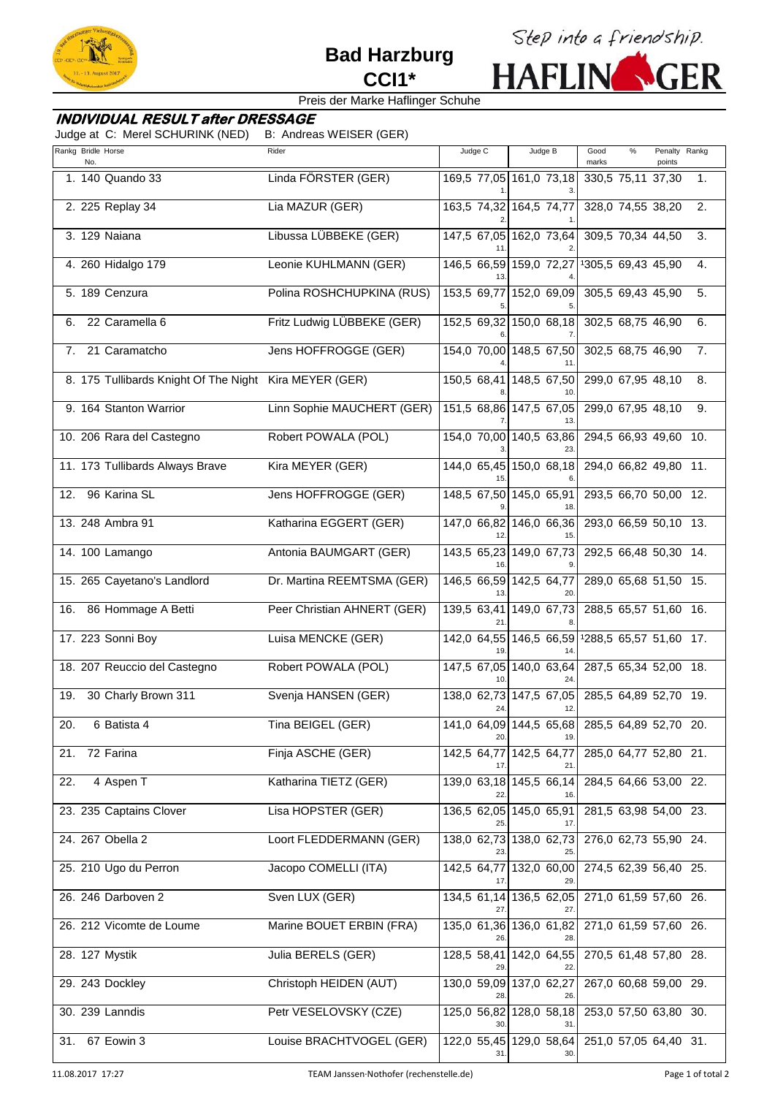

# **Bad Harzburg CCI1\***



# Preis der Marke Haflinger Schuhe

# **INDIVIDUAL RESULT after DRESSAGE**

Judge at C: Merel SCHURINK (NED) B: Andreas WEISER (GER)

|     | Rankg Bridle Horse<br>No.                              | Rider                       | Judge C                 | Judge B                                              | Good<br>marks          | % | Penalty Rankg<br>points |    |
|-----|--------------------------------------------------------|-----------------------------|-------------------------|------------------------------------------------------|------------------------|---|-------------------------|----|
|     | 1. 140 Quando 33                                       | Linda FÖRSTER (GER)         |                         | 169,5 77,05 161,0 73,18                              | 330,5 75,11 37,30      |   |                         | 1. |
|     | 2. 225 Replay 34                                       | Lia MAZUR (GER)             | 163,5 74,32 164,5 74,77 |                                                      | 328,0 74,55 38,20      |   |                         | 2. |
|     | 3. 129 Naiana                                          | Libussa LÜBBEKE (GER)       |                         | 147,5 67,05 162,0 73,64                              | 309,5 70,34 44,50      |   |                         | 3. |
|     | 4. 260 Hidalgo 179                                     | Leonie KUHLMANN (GER)       | 146,5 66,59 159,0 72,27 |                                                      | 1305,5 69,43 45,90     |   |                         | 4. |
|     | 5. 189 Cenzura                                         | Polina ROSHCHUPKINA (RUS)   |                         | 153,5 69,77 152,0 69,09                              | 305,5 69,43 45,90      |   |                         | 5. |
| 6.  | 22 Caramella 6                                         | Fritz Ludwig LÜBBEKE (GER)  |                         | 152,5 69,32 150,0 68,18                              | 302,5 68,75 46,90      |   |                         | 6. |
| 7.  | 21 Caramatcho                                          | Jens HOFFROGGE (GER)        |                         | 154,0 70,00 148,5 67,50                              | 302,5 68,75 46,90      |   |                         | 7. |
|     | 8. 175 Tullibards Knight Of The Night Kira MEYER (GER) |                             |                         | 150,5 68,41 148,5 67,50<br>10                        | 299,0 67,95 48,10      |   |                         | 8. |
|     | 9. 164 Stanton Warrior                                 | Linn Sophie MAUCHERT (GER)  |                         | 151,5 68,86 147,5 67,05                              | 299,0 67,95 48,10      |   |                         | 9. |
|     | 10. 206 Rara del Castegno                              | Robert POWALA (POL)         |                         | 154,0 70,00 140,5 63,86                              | 294,5 66,93 49,60 10.  |   |                         |    |
|     | 11. 173 Tullibards Always Brave                        | Kira MEYER (GER)            | 15                      | 144,0 65,45 150,0 68,18                              | 294,0 66,82 49,80 11.  |   |                         |    |
| 12. | 96 Karina SL                                           | Jens HOFFROGGE (GER)        | 148,5 67,50 145,0 65,91 | 18.                                                  | 293,5 66,70 50,00 12.  |   |                         |    |
|     | 13. 248 Ambra 91                                       | Katharina EGGERT (GER)      |                         | 147,0 66,82 146,0 66,36                              | 293,0 66,59 50,10 13.  |   |                         |    |
|     | 14. 100 Lamango                                        | Antonia BAUMGART (GER)      | 16                      | 143,5 65,23 149,0 67,73                              | 292,5 66,48 50,30 14.  |   |                         |    |
|     | 15. 265 Cayetano's Landlord                            | Dr. Martina REEMTSMA (GER)  | 146,5 66,59 142,5 64,77 |                                                      | 289,0 65,68 51,50 15.  |   |                         |    |
|     | 16. 86 Hommage A Betti                                 | Peer Christian AHNERT (GER) |                         | 139,5 63,41 149,0 67,73                              | 288,5 65,57 51,60 16.  |   |                         |    |
|     | 17. 223 Sonni Boy                                      | Luisa MENCKE (GER)          | 19.                     | 142,0 64,55 146,5 66,59<br>14                        | 1288,5 65,57 51,60 17. |   |                         |    |
|     | 18. 207 Reuccio del Castegno                           | Robert POWALA (POL)         |                         | 147,5 67,05 140,0 63,64<br>24.                       | 287,5 65,34 52,00 18.  |   |                         |    |
| 19. | 30 Charly Brown 311                                    | Svenja HANSEN (GER)         |                         | 138,0 62,73 147,5 67,05                              | 285,5 64,89 52,70 19.  |   |                         |    |
| 20. | 6 Batista 4                                            | Tina BEIGEL (GER)           | 20.                     | 141,0 64,09 144,5 65,68 285,5 64,89 52,70 20.<br>19. |                        |   |                         |    |
| 21. | 72 Farina                                              | Finja ASCHE (GER)           | 17.                     | 142,5 64,77 142,5 64,77<br>21.                       | 285,0 64,77 52,80 21.  |   |                         |    |
| 22. | 4 Aspen T                                              | Katharina TIETZ (GER)       | 22                      | 139,0 63,18 145,5 66,14<br>16.                       | 284,5 64,66 53,00 22.  |   |                         |    |
|     | 23. 235 Captains Clover                                | Lisa HOPSTER (GER)          | 136,5 62,05 145,0 65,91 | 17.                                                  | 281,5 63,98 54,00 23.  |   |                         |    |
|     | 24. 267 Obella 2                                       | Loort FLEDDERMANN (GER)     |                         | 138,0 62,73 138,0 62,73                              | 276,0 62,73 55,90 24.  |   |                         |    |
|     | 25. 210 Ugo du Perron                                  | Jacopo COMELLI (ITA)        | 142,5 64,77             | 132,0 60,00                                          | 274,5 62,39 56,40 25.  |   |                         |    |
|     | 26. 246 Darboven 2                                     | Sven LUX (GER)              | 27.                     | 134,5 61,14 136,5 62,05<br>27.                       | 271,0 61,59 57,60 26.  |   |                         |    |
|     | 26. 212 Vicomte de Loume                               | Marine BOUET ERBIN (FRA)    |                         | 135,0 61,36 136,0 61,82<br>28.                       | 271,0 61,59 57,60 26.  |   |                         |    |
|     | 28. 127 Mystik                                         | Julia BERELS (GER)          | 29.                     | 128,5 58,41 142,0 64,55<br>22.                       | 270,5 61,48 57,80 28.  |   |                         |    |
|     | 29. 243 Dockley                                        | Christoph HEIDEN (AUT)      | 28.                     | 130,0 59,09 137,0 62,27<br>26.                       | 267,0 60,68 59,00 29.  |   |                         |    |
|     | 30. 239 Lanndis                                        | Petr VESELOVSKY (CZE)       |                         | 125,0 56,82 128,0 58,18<br>31.                       | 253,0 57,50 63,80 30.  |   |                         |    |
| 31. | 67 Eowin 3                                             | Louise BRACHTVOGEL (GER)    | 31.                     | 122,0 55,45 129,0 58,64                              | 251,0 57,05 64,40 31.  |   |                         |    |